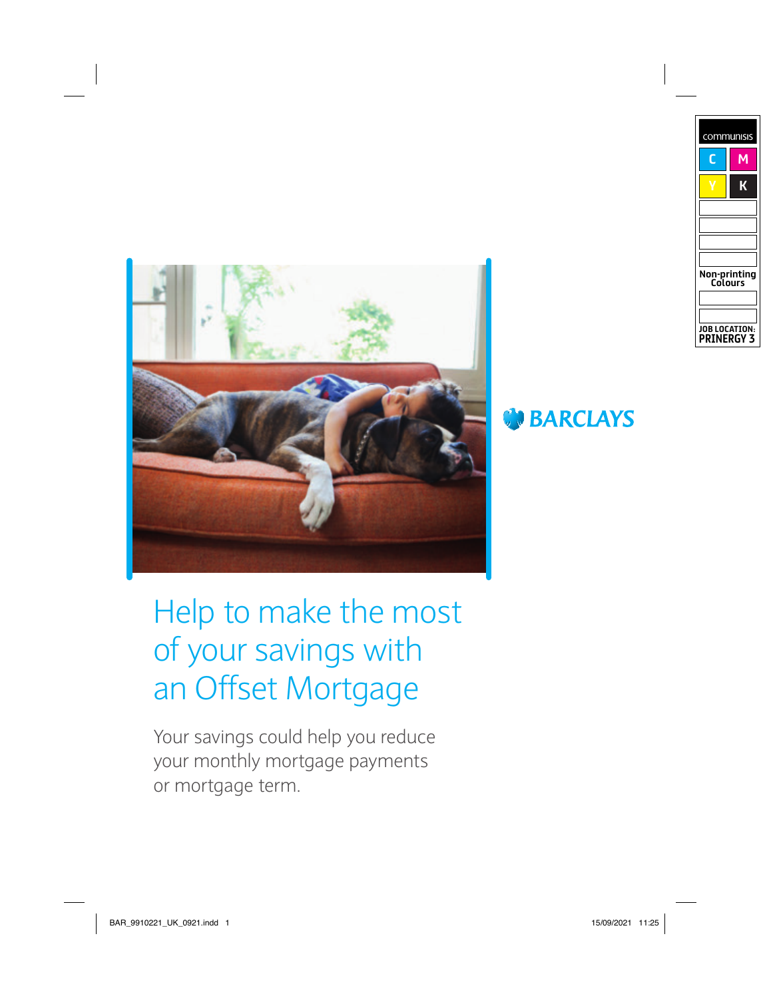



Help to make the most of your savings with an Offset Mortgage

Your savings could help you reduce your monthly mortgage payments or mortgage term.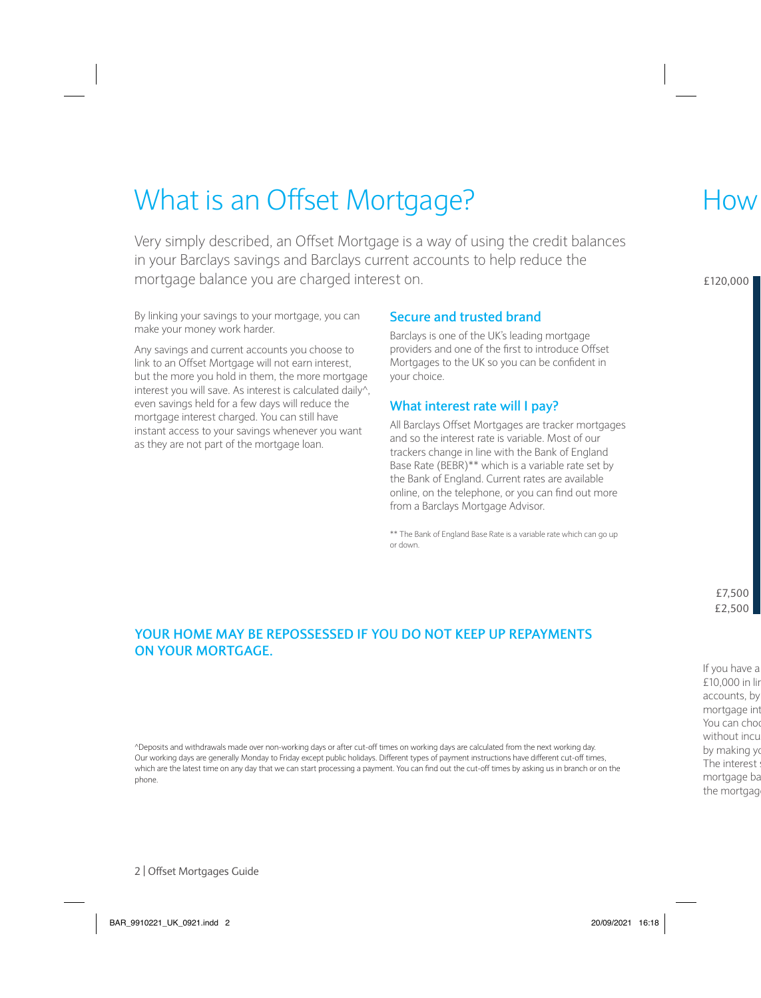## What is an Offset Mortgage?

Very simply described, an Offset Mortgage is a way of using the credit balances in your Barclays savings and Barclays current accounts to help reduce the mortgage balance you are charged interest on.

By linking your savings to your mortgage, you can make your money work harder.

Any savings and current accounts you choose to link to an Offset Mortgage will not earn interest, but the more you hold in them, the more mortgage interest you will save. As interest is calculated daily^, even savings held for a few days will reduce the mortgage interest charged. You can still have instant access to your savings whenever you want as they are not part of the mortgage loan.

#### **Secure and trusted brand**

Barclays is one of the UK's leading mortgage providers and one of the first to introduce Offset Mortgages to the UK so you can be confident in your choice.

#### **What interest rate will I pay?**

All Barclays Offset Mortgages are tracker mortgages and so the interest rate is variable. Most of our trackers change in line with the Bank of England Base Rate (BEBR)\*\* which is a variable rate set by the Bank of England. Current rates are available online, on the telephone, or you can find out more from a Barclays Mortgage Advisor.

\*\* The Bank of England Base Rate is a variable rate which can go up or down.

#### **YOUR HOME MAY BE REPOSSESSED IF YOU DO NOT KEEP UP REPAYMENTS ON YOUR MORTGAGE.**

^Deposits and withdrawals made over non-working days or after cut-off times on working days are calculated from the next working day. Our working days are generally Monday to Friday except public holidays. Different types of payment instructions have different cut-off times, which are the latest time on any day that we can start processing a payment. You can find out the cut-off times by asking us in branch or on the phone.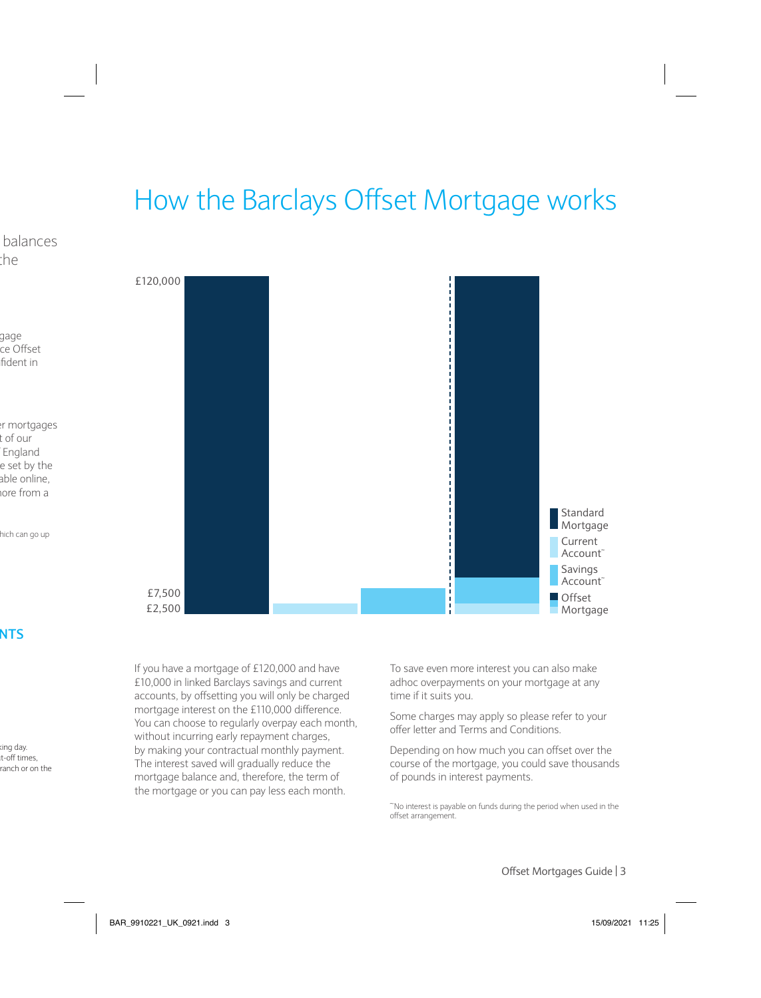## How the Barclays Offset Mortgage works



If you have a mortgage of £120,000 and have £10,000 in linked Barclays savings and current accounts, by offsetting you will only be charged mortgage interest on the £110,000 difference. You can choose to regularly overpay each month, without incurring early repayment charges, by making your contractual monthly payment. The interest saved will gradually reduce the mortgage balance and, therefore, the term of the mortgage or you can pay less each month.

To save even more interest you can also make adhoc overpayments on your mortgage at any time if it suits you.

Some charges may apply so please refer to your offer letter and Terms and Conditions.

Depending on how much you can offset over the course of the mortgage, you could save thousands of pounds in interest payments.

~No interest is payable on funds during the period when used in the offset arrangement.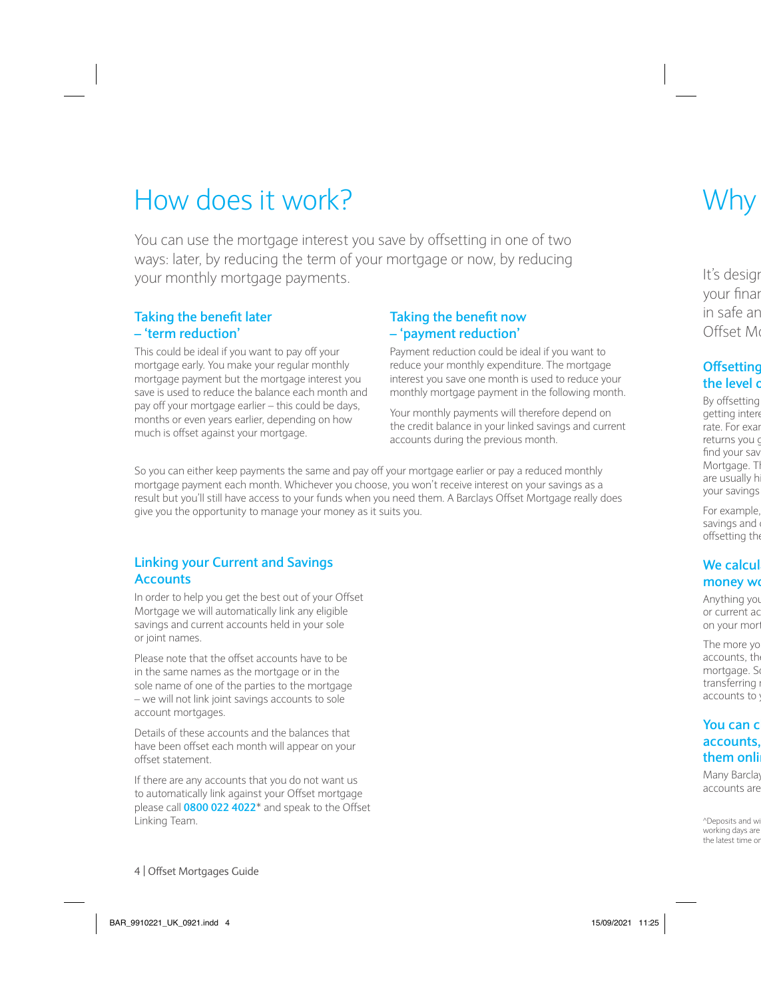## How does it work?

You can use the mortgage interest you save by offsetting in one of two ways: later, by reducing the term of your mortgage or now, by reducing your monthly mortgage payments.

#### **Taking the benefit later – 'term reduction'**

This could be ideal if you want to pay off your mortgage early. You make your regular monthly mortgage payment but the mortgage interest you save is used to reduce the balance each month and pay off your mortgage earlier – this could be days, months or even years earlier, depending on how much is offset against your mortgage.

#### **Taking the benefit now – 'payment reduction'**

Payment reduction could be ideal if you want to reduce your monthly expenditure. The mortgage interest you save one month is used to reduce your monthly mortgage payment in the following month.

Your monthly payments will therefore depend on the credit balance in your linked savings and current accounts during the previous month.

So you can either keep payments the same and pay off your mortgage earlier or pay a reduced monthly mortgage payment each month. Whichever you choose, you won't receive interest on your savings as a result but you'll still have access to your funds when you need them. A Barclays Offset Mortgage really does give you the opportunity to manage your money as it suits you.

#### **Linking your Current and Savings Accounts**

In order to help you get the best out of your Offset Mortgage we will automatically link any eligible savings and current accounts held in your sole or joint names.

Please note that the offset accounts have to be in the same names as the mortgage or in the sole name of one of the parties to the mortgage – we will not link joint savings accounts to sole account mortgages.

Details of these accounts and the balances that have been offset each month will appear on your offset statement.

If there are any accounts that you do not want us to automatically link against your Offset mortgage please call **0800 022 4022**\* and speak to the Offset Linking Team.  $\Box$ withdrawals made over non-working days or after cut-off times on working days are calculated from the next working days are calculated from the next working days are calculated from the next working day.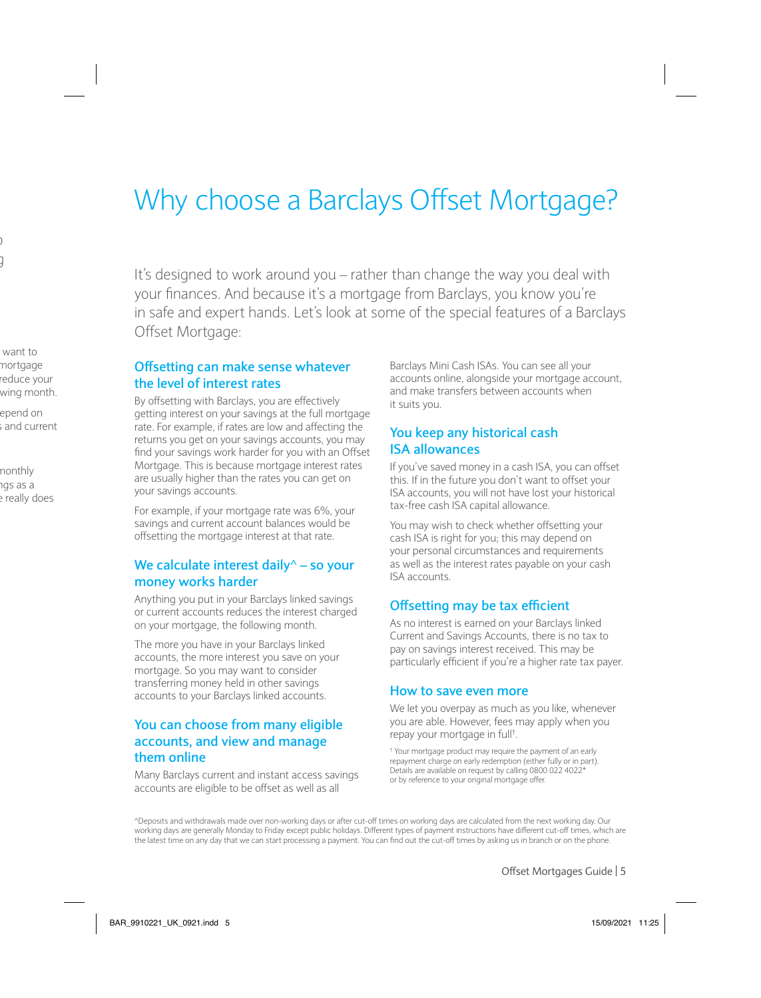## Why choose a Barclays Offset Mortgage?

It's designed to work around you – rather than change the way you deal with your finances. And because it's a mortgage from Barclays, you know you're in safe and expert hands. Let's look at some of the special features of a Barclays Offset Mortgage:

#### **Offsetting can make sense whatever the level of interest rates**

By offsetting with Barclays, you are effectively getting interest on your savings at the full mortgage rate. For example, if rates are low and affecting the returns you get on your savings accounts, you may find your savings work harder for you with an Offset Mortgage. This is because mortgage interest rates are usually higher than the rates you can get on your savings accounts.

For example, if your mortgage rate was 6%, your savings and current account balances would be offsetting the mortgage interest at that rate.

#### **We calculate interest daily^ – so your money works harder**

Anything you put in your Barclays linked savings or current accounts reduces the interest charged on your mortgage, the following month.

The more you have in your Barclays linked accounts, the more interest you save on your mortgage. So you may want to consider transferring money held in other savings accounts to your Barclays linked accounts.

#### **You can choose from many eligible accounts, and view and manage them online**

Many Barclays current and instant access savings accounts are eligible to be offset as well as all

Barclays Mini Cash ISAs. You can see all your accounts online, alongside your mortgage account, and make transfers between accounts when it suits you.

#### **You keep any historical cash ISA allowances**

If you've saved money in a cash ISA, you can offset this. If in the future you don't want to offset your ISA accounts, you will not have lost your historical tax-free cash ISA capital allowance.

You may wish to check whether offsetting your cash ISA is right for you; this may depend on your personal circumstances and requirements as well as the interest rates payable on your cash ISA accounts.

#### **Offsetting may be tax efficient**

As no interest is earned on your Barclays linked Current and Savings Accounts, there is no tax to pay on savings interest received. This may be particularly efficient if you're a higher rate tax payer.

#### **How to save even more**

We let you overpay as much as you like, whenever you are able. However, fees may apply when you repay your mortgage in full† .

† Your mortgage product may require the payment of an early repayment charge on early redemption (either fully or in part). Details are available on request by calling 0800 022 4022\* or by reference to your original mortgage offer.

^Deposits and withdrawals made over non-working days or after cut-off times on working days are calculated from the next working day. Our working days are generally Monday to Friday except public holidays. Different types of payment instructions have different cut-off times, which are the latest time on any day that we can start processing a payment. You can find out the cut-off times by asking us in branch or on the phone.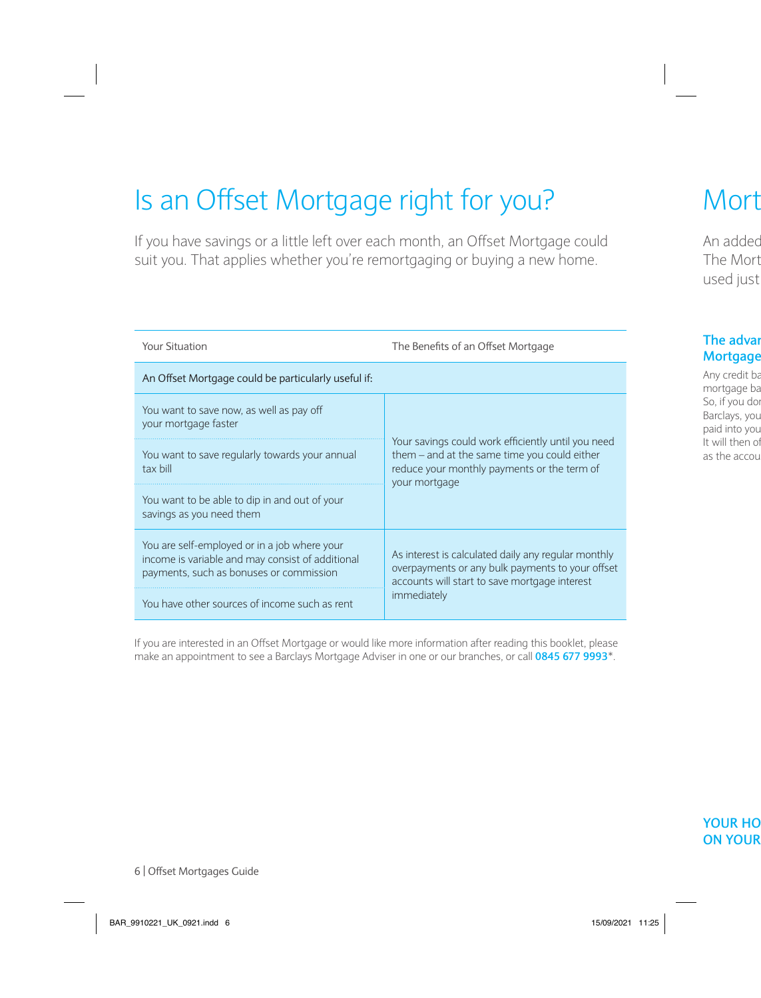# Is an Offset Mortgage right for you?

If you have savings or a little left over each month, an Offset Mortgage could suit you. That applies whether you're remortgaging or buying a new home.

| <b>Your Situation</b>                                                                                                                       | The Benefits of an Offset Mortgage                                                                                                                                      |
|---------------------------------------------------------------------------------------------------------------------------------------------|-------------------------------------------------------------------------------------------------------------------------------------------------------------------------|
| An Offset Mortgage could be particularly useful if:                                                                                         |                                                                                                                                                                         |
| You want to save now, as well as pay off<br>your mortgage faster                                                                            | Your savings could work efficiently until you need<br>them - and at the same time you could either<br>reduce your monthly payments or the term of<br>your mortgage      |
| You want to save regularly towards your annual<br>tax bill                                                                                  |                                                                                                                                                                         |
| You want to be able to dip in and out of your<br>savings as you need them                                                                   |                                                                                                                                                                         |
| You are self-employed or in a job where your<br>income is variable and may consist of additional<br>payments, such as bonuses or commission | As interest is calculated daily any regular monthly<br>overpayments or any bulk payments to your offset<br>accounts will start to save mortgage interest<br>immediately |
| You have other sources of income such as rent                                                                                               |                                                                                                                                                                         |

If you are interested in an Offset Mortgage or would like more information after reading this booklet, please make an appointment to see a Barclays Mortgage Adviser in one or our branches, or call **0845 677 9993**\*.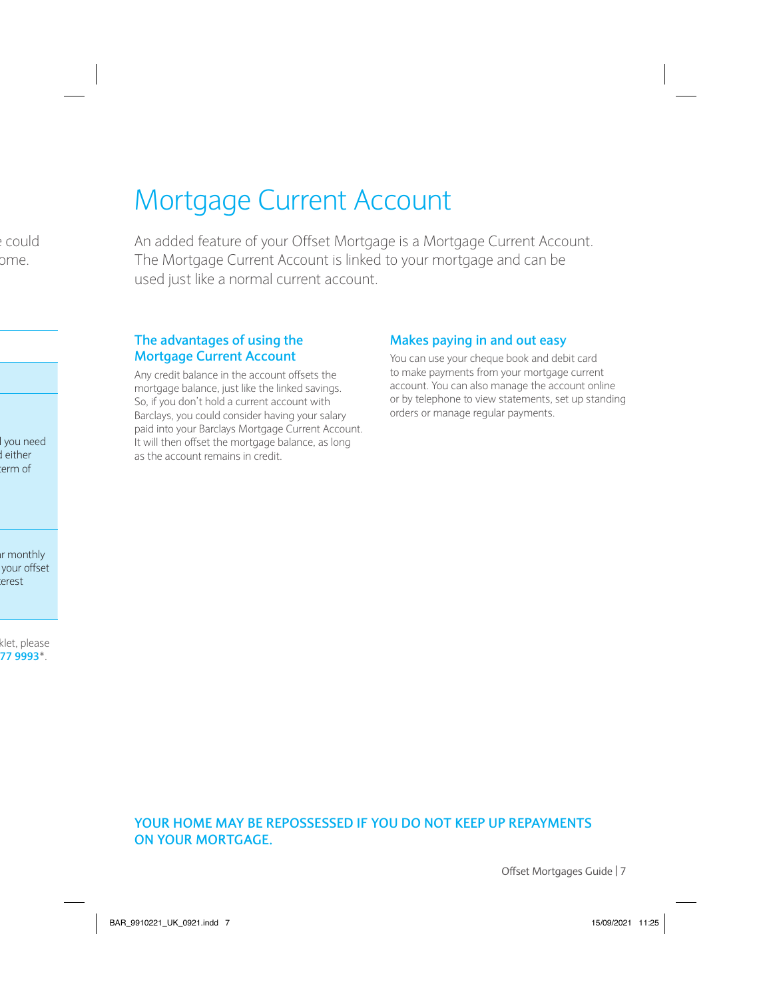### Mortgage Current Account

An added feature of your Offset Mortgage is a Mortgage Current Account. The Mortgage Current Account is linked to your mortgage and can be used just like a normal current account.

#### **The advantages of using the Mortgage Current Account**

Any credit balance in the account offsets the mortgage balance, just like the linked savings. So, if you don't hold a current account with Barclays, you could consider having your salary paid into your Barclays Mortgage Current Account. It will then offset the mortgage balance, as long as the account remains in credit.

#### **Makes paying in and out easy**

You can use your cheque book and debit card to make payments from your mortgage current account. You can also manage the account online or by telephone to view statements, set up standing orders or manage regular payments.

#### **YOUR HOME MAY BE REPOSSESSED IF YOU DO NOT KEEP UP REPAYMENTS ON YOUR MORTGAGE.**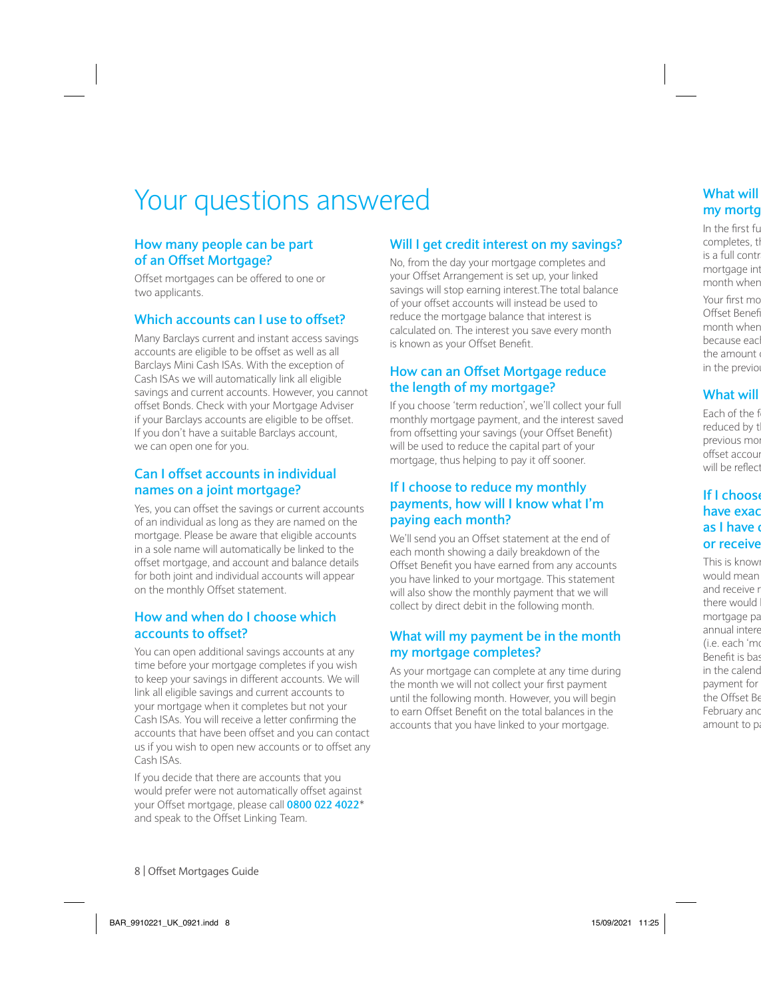### Your questions answered

#### **How many people can be part of an Offset Mortgage?**

Offset mortgages can be offered to one or two applicants.

#### **Which accounts can I use to offset?**

Many Barclays current and instant access savings accounts are eligible to be offset as well as all Barclays Mini Cash ISAs. With the exception of Cash ISAs we will automatically link all eligible savings and current accounts. However, you cannot offset Bonds. Check with your Mortgage Adviser if your Barclays accounts are eligible to be offset. If you don't have a suitable Barclays account, we can open one for you.

#### **Can I offset accounts in individual names on a joint mortgage?**

Yes, you can offset the savings or current accounts of an individual as long as they are named on the mortgage. Please be aware that eligible accounts in a sole name will automatically be linked to the offset mortgage, and account and balance details for both joint and individual accounts will appear on the monthly Offset statement.

#### **How and when do I choose which accounts to offset?**

You can open additional savings accounts at any time before your mortgage completes if you wish to keep your savings in different accounts. We will link all eligible savings and current accounts to your mortgage when it completes but not your Cash ISAs. You will receive a letter confirming the accounts that have been offset and you can contact us if you wish to open new accounts or to offset any Cash ISAs.

If you decide that there are accounts that you would prefer were not automatically offset against your Offset mortgage, please call **0800 022 4022**\* and speak to the Offset Linking Team.

#### **Will I get credit interest on my savings?**

No, from the day your mortgage completes and your Offset Arrangement is set up, your linked savings will stop earning interest.The total balance of your offset accounts will instead be used to reduce the mortgage balance that interest is calculated on. The interest you save every month is known as your Offset Benefit.

#### **How can an Offset Mortgage reduce the length of my mortgage?**

If you choose 'term reduction', we'll collect your full monthly mortgage payment, and the interest saved from offsetting your savings (your Offset Benefit) will be used to reduce the capital part of your mortgage, thus helping to pay it off sooner.

#### **If I choose to reduce my monthly payments, how will I know what I'm paying each month?**

We'll send you an Offset statement at the end of each month showing a daily breakdown of the Offset Benefit you have earned from any accounts you have linked to your mortgage. This statement will also show the monthly payment that we will collect by direct debit in the following month.

#### **What will my payment be in the month my mortgage completes?**

As your mortgage can complete at any time during the month we will not collect your first payment until the following month. However, you will begin to earn Offset Benefit on the total balances in the accounts that you have linked to your mortgage.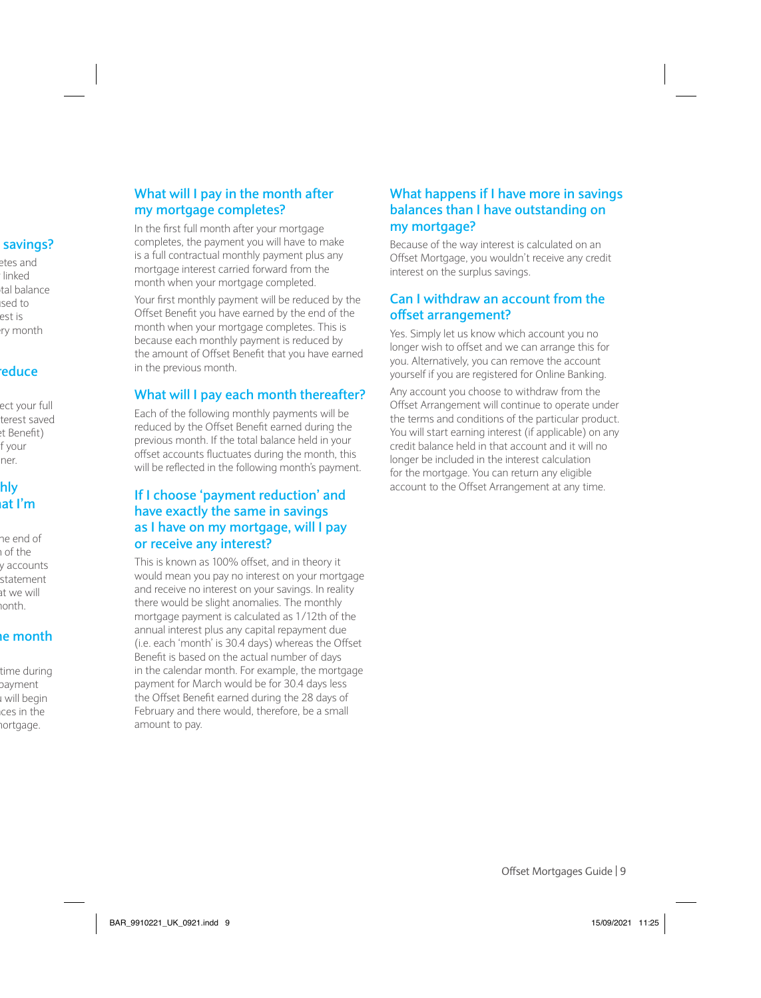#### **What will I pay in the month after my mortgage completes?**

In the first full month after your mortgage completes, the payment you will have to make is a full contractual monthly payment plus any mortgage interest carried forward from the month when your mortgage completed.

Your first monthly payment will be reduced by the Offset Benefit you have earned by the end of the month when your mortgage completes. This is because each monthly payment is reduced by the amount of Offset Benefit that you have earned in the previous month.

#### **What will I pay each month thereafter?**

Each of the following monthly payments will be reduced by the Offset Benefit earned during the previous month. If the total balance held in your offset accounts fluctuates during the month, this will be reflected in the following month's payment.

#### **If I choose 'payment reduction' and have exactly the same in savings as I have on my mortgage, will I pay or receive any interest?**

This is known as 100% offset, and in theory it would mean you pay no interest on your mortgage and receive no interest on your savings. In reality there would be slight anomalies. The monthly mortgage payment is calculated as 1/12th of the annual interest plus any capital repayment due (i.e. each 'month' is 30.4 days) whereas the Offset Benefit is based on the actual number of days in the calendar month. For example, the mortgage payment for March would be for 30.4 days less the Offset Benefit earned during the 28 days of February and there would, therefore, be a small amount to pay.

#### **What happens if I have more in savings balances than I have outstanding on my mortgage?**

Because of the way interest is calculated on an Offset Mortgage, you wouldn't receive any credit interest on the surplus savings.

#### **Can I withdraw an account from the offset arrangement?**

Yes. Simply let us know which account you no longer wish to offset and we can arrange this for you. Alternatively, you can remove the account yourself if you are registered for Online Banking.

Any account you choose to withdraw from the Offset Arrangement will continue to operate under the terms and conditions of the particular product. You will start earning interest (if applicable) on any credit balance held in that account and it will no longer be included in the interest calculation for the mortgage. You can return any eligible account to the Offset Arrangement at any time.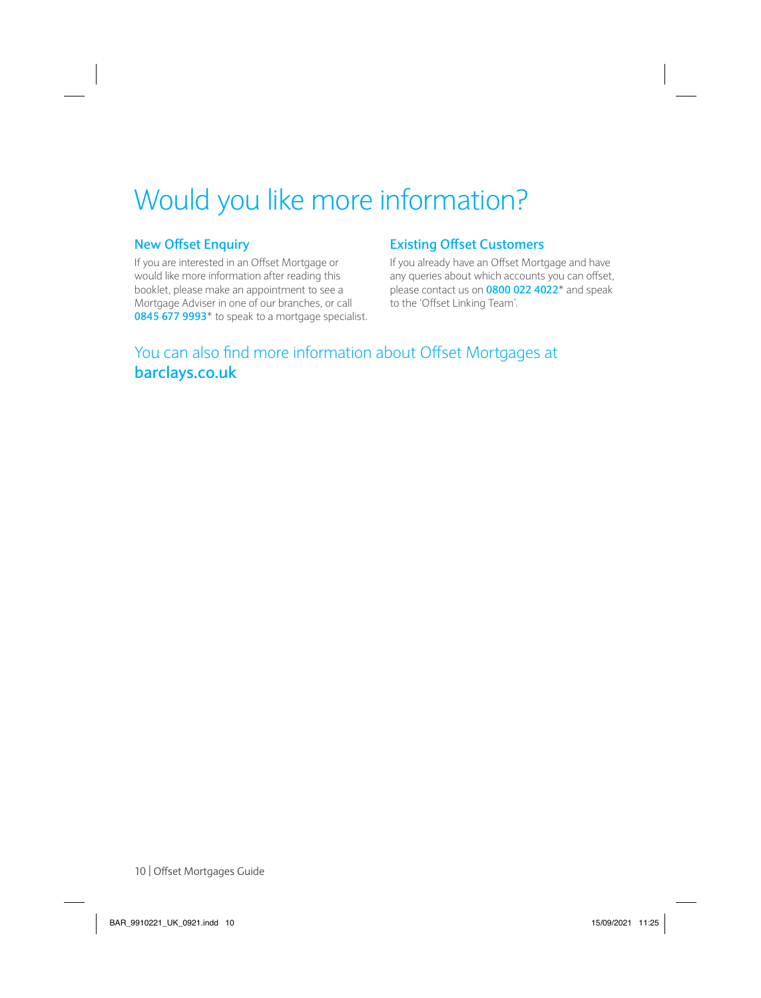# Would you like more information?

#### **New Offset Enquiry**

If you are interested in an Offset Mortgage or would like more information after reading this booklet, please make an appointment to see a Mortgage Adviser in one of our branches, or call **0845 677 9993**\* to speak to a mortgage specialist.

#### **Existing Offset Customers**

If you already have an Offset Mortgage and have any queries about which accounts you can offset, please contact us on **0800 022 4022**\* and speak to the 'Offset Linking Team'.

### You can also find more information about Offset Mortgages at **barclays.co.uk**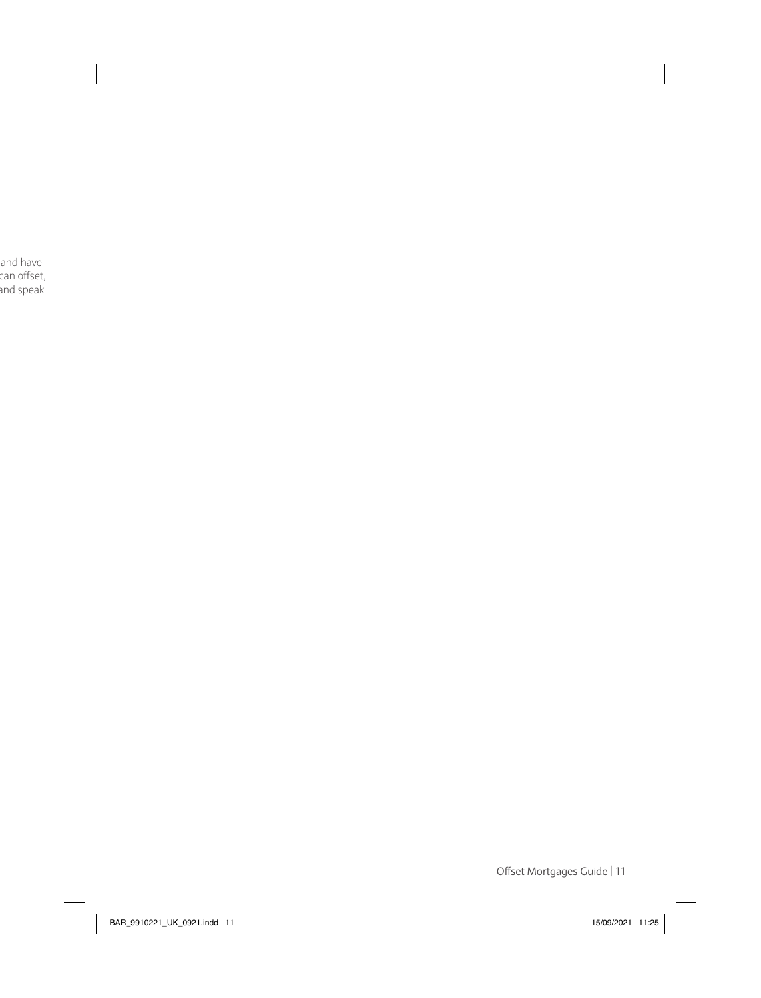Offset Mortgages Guide | 11